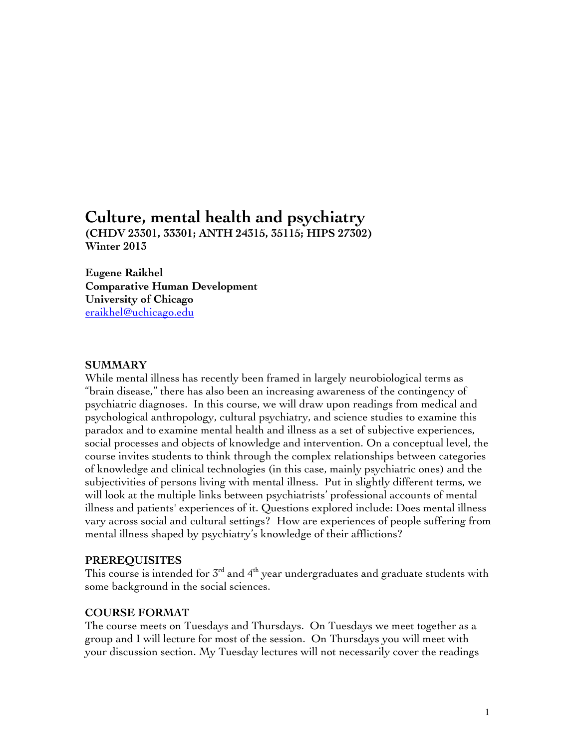# **Culture, mental health and psychiatry**

**(CHDV 23301, 33301; ANTH 24315, 35115; HIPS 27302) Winter 2013**

**Eugene Raikhel Comparative Human Development University of Chicago** eraikhel@uchicago.edu

## **SUMMARY**

While mental illness has recently been framed in largely neurobiological terms as "brain disease," there has also been an increasing awareness of the contingency of psychiatric diagnoses. In this course, we will draw upon readings from medical and psychological anthropology, cultural psychiatry, and science studies to examine this paradox and to examine mental health and illness as a set of subjective experiences, social processes and objects of knowledge and intervention. On a conceptual level, the course invites students to think through the complex relationships between categories of knowledge and clinical technologies (in this case, mainly psychiatric ones) and the subjectivities of persons living with mental illness. Put in slightly different terms, we will look at the multiple links between psychiatrists' professional accounts of mental illness and patients' experiences of it. Questions explored include: Does mental illness vary across social and cultural settings? How are experiences of people suffering from mental illness shaped by psychiatry's knowledge of their afflictions?

## **PREREQUISITES**

This course is intended for  $5<sup>rd</sup>$  and  $4<sup>th</sup>$  year undergraduates and graduate students with some background in the social sciences.

#### **COURSE FORMAT**

The course meets on Tuesdays and Thursdays. On Tuesdays we meet together as a group and I will lecture for most of the session. On Thursdays you will meet with your discussion section. My Tuesday lectures will not necessarily cover the readings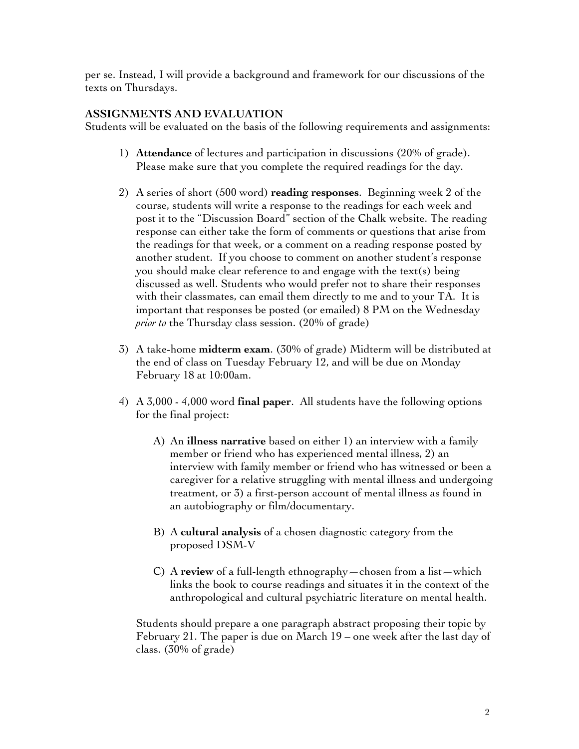per se. Instead, I will provide a background and framework for our discussions of the texts on Thursdays.

# **ASSIGNMENTS AND EVALUATION**

Students will be evaluated on the basis of the following requirements and assignments:

- 1) **Attendance** of lectures and participation in discussions (20% of grade). Please make sure that you complete the required readings for the day.
- 2) A series of short (500 word) **reading responses**. Beginning week 2 of the course, students will write a response to the readings for each week and post it to the "Discussion Board" section of the Chalk website. The reading response can either take the form of comments or questions that arise from the readings for that week, or a comment on a reading response posted by another student. If you choose to comment on another student's response you should make clear reference to and engage with the text(s) being discussed as well. Students who would prefer not to share their responses with their classmates, can email them directly to me and to your TA. It is important that responses be posted (or emailed) 8 PM on the Wednesday *prior to* the Thursday class session. (20% of grade)
- 3) A take-home **midterm exam**. (30% of grade) Midterm will be distributed at the end of class on Tuesday February 12, and will be due on Monday February 18 at 10:00am.
- 4) A 3,000 4,000 word **final paper**. All students have the following options for the final project:
	- A) An **illness narrative** based on either 1) an interview with a family member or friend who has experienced mental illness, 2) an interview with family member or friend who has witnessed or been a caregiver for a relative struggling with mental illness and undergoing treatment, or 3) a first-person account of mental illness as found in an autobiography or film/documentary.
	- B) A **cultural analysis** of a chosen diagnostic category from the proposed DSM-V
	- C) A **review** of a full-length ethnography—chosen from a list—which links the book to course readings and situates it in the context of the anthropological and cultural psychiatric literature on mental health.

Students should prepare a one paragraph abstract proposing their topic by February 21. The paper is due on March 19 – one week after the last day of class. (30% of grade)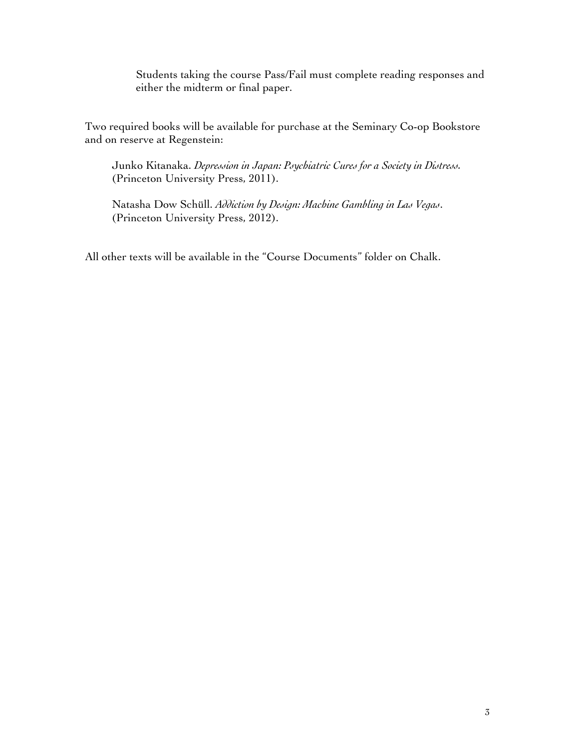Students taking the course Pass/Fail must complete reading responses and either the midterm or final paper.

Two required books will be available for purchase at the Seminary Co-op Bookstore and on reserve at Regenstein:

Junko Kitanaka. *Depression in Japan: Psychiatric Cures for a Society in Distress.* (Princeton University Press, 2011).

Natasha Dow Schüll. *Addiction by Design: Machine Gambling in Las Vegas*. (Princeton University Press, 2012).

All other texts will be available in the "Course Documents" folder on Chalk.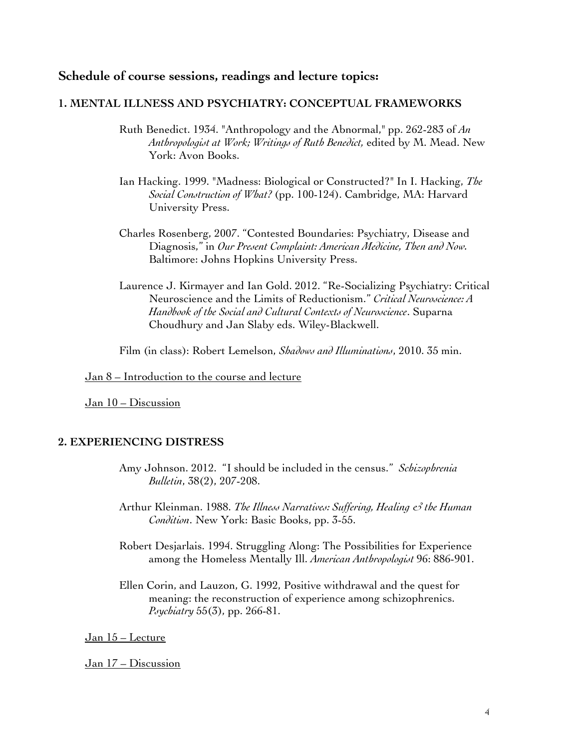# **Schedule of course sessions, readings and lecture topics:**

#### **1. MENTAL ILLNESS AND PSYCHIATRY: CONCEPTUAL FRAMEWORKS**

- Ruth Benedict. 1934. "Anthropology and the Abnormal," pp. 262-283 of *An Anthropologist at Work; Writings of Ruth Benedict,* edited by M. Mead. New York: Avon Books.
- Ian Hacking. 1999. "Madness: Biological or Constructed?" In I. Hacking, *The Social Construction of What?* (pp. 100-124). Cambridge, MA: Harvard University Press.
- Charles Rosenberg, 2007. "Contested Boundaries: Psychiatry, Disease and Diagnosis," in *Our Present Complaint: American Medicine, Then and Now.*  Baltimore: Johns Hopkins University Press.
- Laurence J. Kirmayer and Ian Gold. 2012. "Re-Socializing Psychiatry: Critical Neuroscience and the Limits of Reductionism." *Critical Neuroscience: A Handbook of the Social and Cultural Contexts of Neuroscience*. Suparna Choudhury and Jan Slaby eds. Wiley-Blackwell.

Film (in class): Robert Lemelson, *Shadows and Illuminations*, 2010. 35 min.

# Jan 8 – Introduction to the course and lecture

Jan 10 – Discussion

## **2. EXPERIENCING DISTRESS**

- Amy Johnson. 2012. "I should be included in the census." *Schizophrenia Bulletin*, 38(2), 207-208.
- Arthur Kleinman. 1988. *The Illness Narratives: Suffering, Healing & the Human Condition*. New York: Basic Books, pp. 3-55.
- Robert Desjarlais. 1994. Struggling Along: The Possibilities for Experience among the Homeless Mentally Ill. *American Anthropologist* 96: 886-901.
- Ellen Corin, and Lauzon, G. 1992, Positive withdrawal and the quest for meaning: the reconstruction of experience among schizophrenics. *Psychiatry* 55(3), pp. 266-81.

Jan 15 – Lecture

Jan 17 - Discussion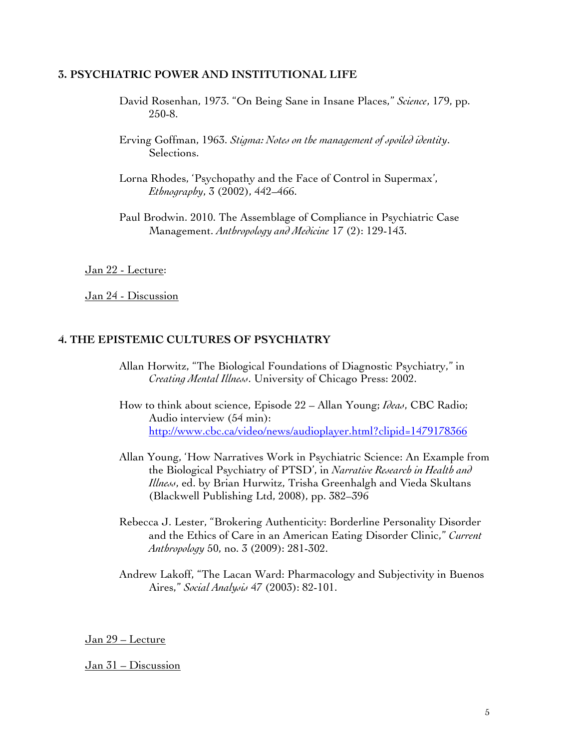## **3. PSYCHIATRIC POWER AND INSTITUTIONAL LIFE**

- David Rosenhan, 1973. "On Being Sane in Insane Places," *Science*, 179, pp. 250-8.
- Erving Goffman, 1963. *Stigma: Notes on the management of spoiled identity*. Selections.
- Lorna Rhodes, 'Psychopathy and the Face of Control in Supermax', *Ethnography*, 3 (2002), 442–466.
- Paul Brodwin. 2010. The Assemblage of Compliance in Psychiatric Case Management. *Anthropology and Medicine* 17 (2): 129-143.

Jan 22 - Lecture:

Jan 24 - Discussion

#### **4. THE EPISTEMIC CULTURES OF PSYCHIATRY**

- Allan Horwitz, "The Biological Foundations of Diagnostic Psychiatry," in *Creating Mental Illness*. University of Chicago Press: 2002.
- How to think about science, Episode 22 Allan Young; *Ideas*, CBC Radio; Audio interview (54 min): http://www.cbc.ca/video/news/audioplayer.html?clipid=1479178366
- Allan Young, 'How Narratives Work in Psychiatric Science: An Example from the Biological Psychiatry of PTSD', in *Narrative Research in Health and Illness*, ed. by Brian Hurwitz, Trisha Greenhalgh and Vieda Skultans (Blackwell Publishing Ltd, 2008), pp. 382–396
- Rebecca J. Lester, "Brokering Authenticity: Borderline Personality Disorder and the Ethics of Care in an American Eating Disorder Clinic," *Current Anthropology* 50, no. 3 (2009): 281-302.
- Andrew Lakoff, "The Lacan Ward: Pharmacology and Subjectivity in Buenos Aires," *Social Analysis* 47 (2003): 82-101.

Jan 29 – Lecture

#### Jan 31 – Discussion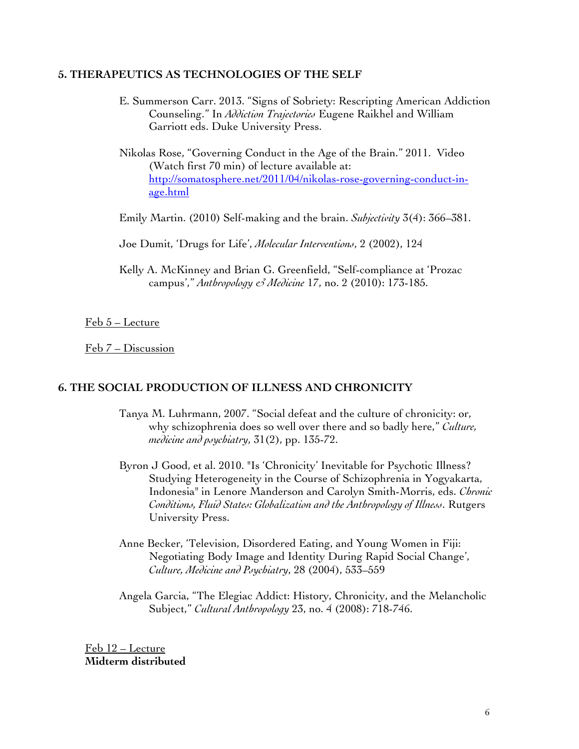#### **5. THERAPEUTICS AS TECHNOLOGIES OF THE SELF**

- E. Summerson Carr. 2013. "Signs of Sobriety: Rescripting American Addiction Counseling." In *Addiction Trajectories* Eugene Raikhel and William Garriott eds. Duke University Press.
- Nikolas Rose, "Governing Conduct in the Age of the Brain." 2011. Video (Watch first 70 min) of lecture available at: http://somatosphere.net/2011/04/nikolas-rose-governing-conduct-inage.html
- Emily Martin. (2010) Self-making and the brain. *Subjectivity* 3(4): 366–381.
- Joe Dumit, 'Drugs for Life', *Molecular Interventions*, 2 (2002), 124
- Kelly A. McKinney and Brian G. Greenfield, "Self-compliance at 'Prozac campus'," *Anthropology & Medicine* 17, no. 2 (2010): 173-185.

Feb 5 – Lecture

Feb 7 – Discussion

# **6. THE SOCIAL PRODUCTION OF ILLNESS AND CHRONICITY**

- Tanya M. Luhrmann, 2007. "Social defeat and the culture of chronicity: or, why schizophrenia does so well over there and so badly here," *Culture, medicine and psychiatry*, 31(2), pp. 135-72.
- Byron J Good, et al. 2010. "Is 'Chronicity' Inevitable for Psychotic Illness? Studying Heterogeneity in the Course of Schizophrenia in Yogyakarta, Indonesia" in Lenore Manderson and Carolyn Smith-Morris, eds. *Chronic Conditions, Fluid States: Globalization and the Anthropology of Illness*. Rutgers University Press.
- Anne Becker, 'Television, Disordered Eating, and Young Women in Fiji: Negotiating Body Image and Identity During Rapid Social Change', *Culture, Medicine and Psychiatry*, 28 (2004), 533–559
- Angela Garcia, "The Elegiac Addict: History, Chronicity, and the Melancholic Subject," *Cultural Anthropology* 23, no. 4 (2008): 718-746.

Feb 12 – Lecture **Midterm distributed**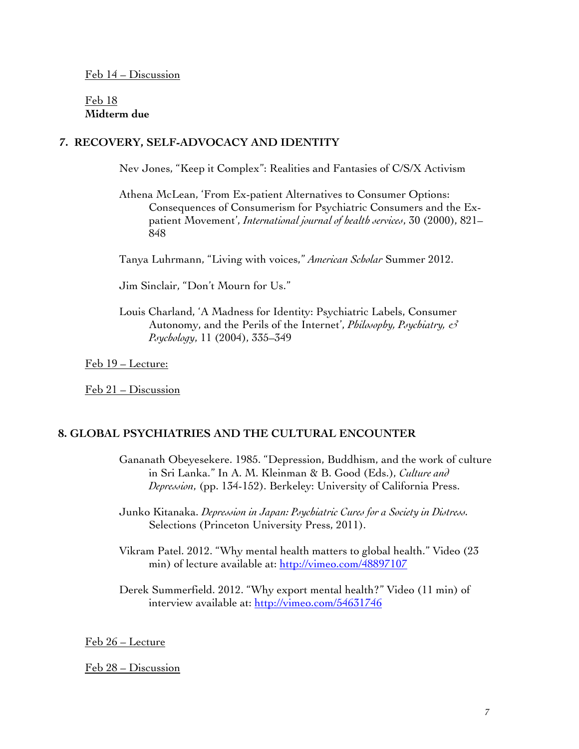Feb 18 **Midterm due**

## **7. RECOVERY, SELF-ADVOCACY AND IDENTITY**

Nev Jones, "Keep it Complex": Realities and Fantasies of C/S/X Activism

- Athena McLean, 'From Ex-patient Alternatives to Consumer Options: Consequences of Consumerism for Psychiatric Consumers and the Expatient Movement', *International journal of health services*, 30 (2000), 821– 848
- Tanya Luhrmann, "Living with voices," *American Scholar* Summer 2012.

Jim Sinclair, "Don't Mourn for Us."

Louis Charland, 'A Madness for Identity: Psychiatric Labels, Consumer Autonomy, and the Perils of the Internet', *Philosophy, Psychiatry, & Psychology*, 11 (2004), 335–349

Feb 19 – Lecture:

Feb 21 – Discussion

## **8. GLOBAL PSYCHIATRIES AND THE CULTURAL ENCOUNTER**

Gananath Obeyesekere. 1985. "Depression, Buddhism, and the work of culture in Sri Lanka." In A. M. Kleinman & B. Good (Eds.), *Culture and Depression*, (pp. 134-152). Berkeley: University of California Press.

Junko Kitanaka. *Depression in Japan: Psychiatric Cures for a Society in Distress.* Selections (Princeton University Press, 2011).

Vikram Patel. 2012. "Why mental health matters to global health." Video (23 min) of lecture available at: http://vimeo.com/48897107

Derek Summerfield. 2012. "Why export mental health?" Video (11 min) of interview available at: http://vimeo.com/54631746

#### Feb 26 – Lecture

#### Feb 28 – Discussion